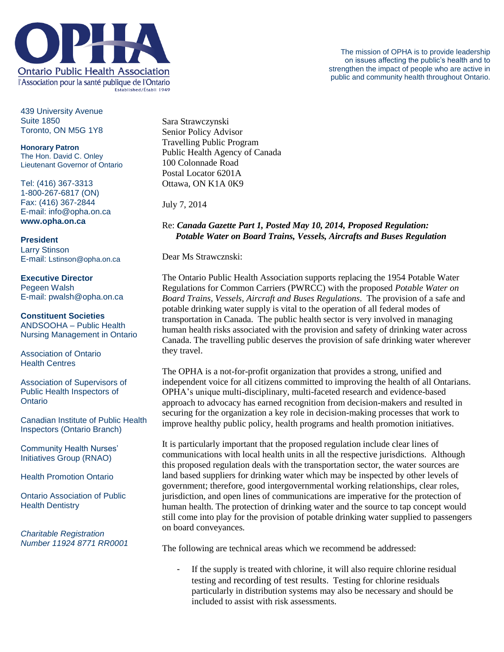

439 University Avenue Suite 1850 Toronto, ON M5G 1Y8

**Honorary Patron** The Hon. David C. Onley Lieutenant Governor of Ontario

Tel: (416) 367-3313 1-800-267-6817 (ON) Fax: (416) 367-2844 E-mail: info@opha.on.ca **www.opha.on.ca**

**President** Larry Stinson E-mail: Lstinson@opha.on.ca

**Executive Director** Pegeen Walsh E-mail: pwalsh@opha.on.ca

**Constituent Societies** ANDSOOHA – Public Health Nursing Management in Ontario

Association of Ontario Health Centres

Association of Supervisors of Public Health Inspectors of **Ontario** 

Canadian Institute of Public Health Inspectors (Ontario Branch)

Community Health Nurses' Initiatives Group (RNAO)

Health Promotion Ontario

Ontario Association of Public Health Dentistry

*Charitable Registration Number 11924 8771 RR0001*

Sara Strawczynski Senior Policy Advisor Travelling Public Program Public Health Agency of Canada 100 Colonnade Road Postal Locator 6201A Ottawa, ON K1A 0K9

July 7, 2014

## Re: *Canada Gazette Part 1, Posted May 10, 2014, Proposed Regulation: Potable Water on Board Trains, Vessels, Aircrafts and Buses Regulation*

Dear Ms Strawcznski:

The Ontario Public Health Association supports replacing the 1954 Potable Water Regulations for Common Carriers (PWRCC) with the proposed *Potable Water on Board Trains, Vessels, Aircraft and Buses Regulations*. The provision of a safe and potable drinking water supply is vital to the operation of all federal modes of transportation in Canada. The public health sector is very involved in managing human health risks associated with the provision and safety of drinking water across Canada. The travelling public deserves the provision of safe drinking water wherever they travel.

The OPHA is a not-for-profit organization that provides a strong, unified and independent voice for all citizens committed to improving the health of all Ontarians. OPHA's unique multi-disciplinary, multi-faceted research and evidence-based approach to advocacy has earned recognition from decision-makers and resulted in securing for the organization a key role in decision-making processes that work to improve healthy public policy, health programs and health promotion initiatives.

It is particularly important that the proposed regulation include clear lines of communications with local health units in all the respective jurisdictions. Although this proposed regulation deals with the transportation sector, the water sources are land based suppliers for drinking water which may be inspected by other levels of government; therefore, good intergovernmental working relationships, clear roles, jurisdiction, and open lines of communications are imperative for the protection of human health. The protection of drinking water and the source to tap concept would still come into play for the provision of potable drinking water supplied to passengers on board conveyances.

The following are technical areas which we recommend be addressed:

- If the supply is treated with chlorine, it will also require chlorine residual testing and recording of test results. Testing for chlorine residuals particularly in distribution systems may also be necessary and should be included to assist with risk assessments.